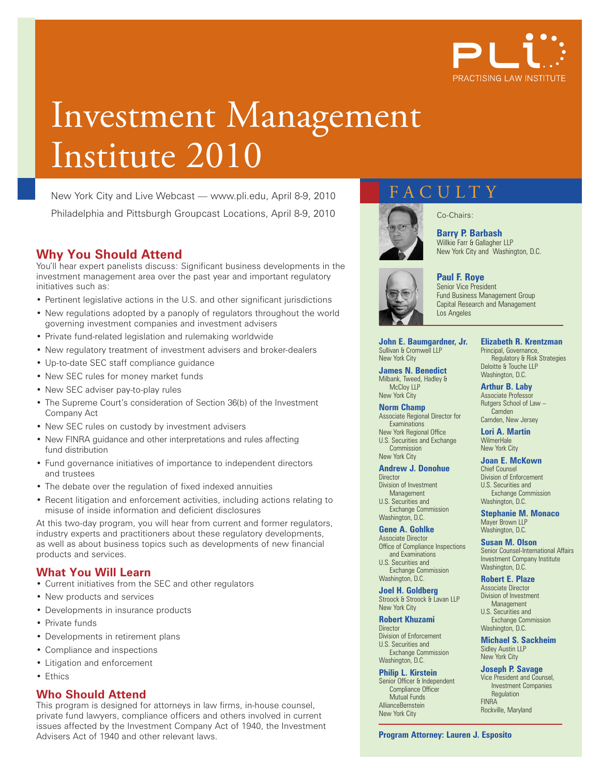

# Investment Management Institute 2010

New York City and Live Webcast — www.pli.edu, April 8-9, 2010 Philadelphia and Pittsburgh Groupcast Locations, April 8-9, 2010

### **Why You Should Attend**

You'll hear expert panelists discuss: Significant business developments in the investment management area over the past year and important regulatory initiatives such as:

- Pertinent legislative actions in the U.S. and other significant jurisdictions
- New regulations adopted by a panoply of regulators throughout the world governing investment companies and investment advisers
- Private fund-related legislation and rulemaking worldwide
- New regulatory treatment of investment advisers and broker-dealers
- Up-to-date SEC staff compliance guidance
- New SEC rules for money market funds
- New SEC adviser pay-to-play rules
- The Supreme Court's consideration of Section 36(b) of the Investment Company Act
- New SEC rules on custody by investment advisers
- New FINRA guidance and other interpretations and rules affecting fund distribution
- Fund governance initiatives of importance to independent directors and trustees
- The debate over the regulation of fixed indexed annuities
- Recent litigation and enforcement activities, including actions relating to misuse of inside information and deficient disclosures

At this two-day program, you will hear from current and former regulators, industry experts and practitioners about these regulatory developments, as well as about business topics such as developments of new financial products and services.

#### **What You Will Learn**

- Current initiatives from the SEC and other regulators
- New products and services
- Developments in insurance products
- Private funds
- Developments in retirement plans
- Compliance and inspections
- Litigation and enforcement
- Ethics

#### **Who Should Attend**

This program is designed for attorneys in law firms, in-house counsel, private fund lawyers, compliance officers and others involved in current issues affected by the Investment Company Act of 1940, the Investment Advisers Act of 1940 and other relevant laws.

## **FACULTY**

Co-Chairs:



**Barry P. Barbash** Willkie Farr & Gallagher LLP New York City and Washington, D.C.



Senior Vice President Fund Business Management Group Capital Research and Management Los Angeles

**John E. Baumgardner, Jr.** Sullivan & Cromwell LLP New York City

**James N. Benedict** Milbank, Tweed, Hadley & McCloy LLP New York City

**Norm Champ**  Associate Regional Director for **Examinations** New York Regional Office U.S. Securities and Exchange Commission

New York City **Andrew J. Donohue Director** Division of Investment Management U.S. Securities and Exchange Commission

Washington, D.C. **Gene A. Gohlke** Associate Director Office of Compliance Inspections and Examinations U.S. Securities and Exchange Commission Washington, D.C.

**Joel H. Goldberg** Stroock & Stroock & Lavan LLP New York City

**Robert Khuzami** Director Division of Enforcement U.S. Securities and Exchange Commission

Washington, D.C. **Philip L. Kirstein** Senior Officer & Independent Compliance Officer Mutual Funds AllianceBernstein

New York City

**Elizabeth R. Krentzman** Principal, Governance, Regulatory & Risk Strategies Deloitte & Touche LLP Washington, D.C.

**Arthur B. Laby**  Associate Professor Rutgers School of Law – **Camden** Camden, New Jersey

**Lori A. Martin**

**WilmerHale** New York City

#### **Joan E. McKown** Chief Counsel Division of Enforcement U.S. Securities and Exchange Commission

Washington, D.C. **Stephanie M. Monaco** Mayer Brown LLP Washington, D.C.

**Susan M. Olson** Senior Counsel-International Affairs Investment Company Institute Washington, D.C.

**Robert E. Plaze** Associate Director Division of Investment Management U.S. Securities and

Exchange Commission Washington, D.C.

**Michael S. Sackheim** Sidley Austin LLP New York City

**Joseph P. Savage**

Vice President and Counsel, Investment Companies **Regulation FINRA** Rockville, Maryland

**Program Attorney: Lauren J. Esposito**